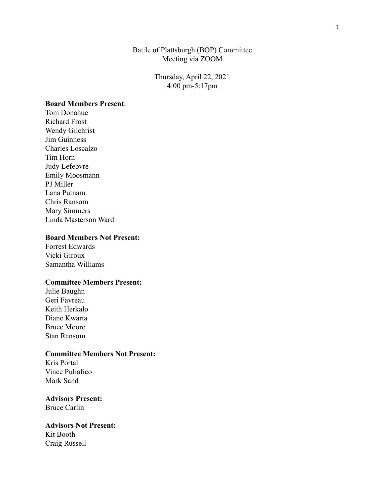### Battle of Plattsburgh (BOP) Committee Meeting via ZOOM

Thursday, April 22, 2021 4:00 pm-5:17pm

#### **Board Members Present**:

Tom Donahue Richard Frost Wendy Gilchrist Jim Guinness Charles Loscalzo Tim Horn Judy Lefebvre Emily Moosmann PJ Miller Lana Putnam Chris Ransom Mary Simmers Linda Masterson Ward

#### **Board Members Not Present:**

Forrest Edwards Vicki Giroux Samantha Williams

#### **Committee Members Present:**

Julie Baughn Geri Favreau Keith Herkalo Diane Kwarta Bruce Moore Stan Ransom

#### **Committee Members Not Present:**

Kris Portal Vince Puliafico Mark Sand

#### **Advisors Present:** Bruce Carlin

## **Advisors Not Present:** Kit Booth Craig Russell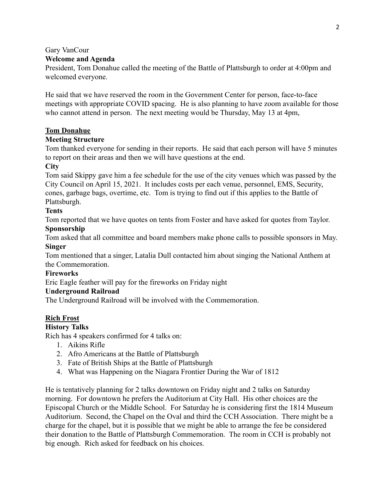# Gary VanCour

# **Welcome and Agenda**

President, Tom Donahue called the meeting of the Battle of Plattsburgh to order at 4:00pm and welcomed everyone.

He said that we have reserved the room in the Government Center for person, face-to-face meetings with appropriate COVID spacing. He is also planning to have zoom available for those who cannot attend in person. The next meeting would be Thursday, May 13 at 4pm,

### **Tom Donahue**

### **Meeting Structure**

Tom thanked everyone for sending in their reports. He said that each person will have 5 minutes to report on their areas and then we will have questions at the end.

### **City**

Tom said Skippy gave him a fee schedule for the use of the city venues which was passed by the City Council on April 15, 2021. It includes costs per each venue, personnel, EMS, Security, cones, garbage bags, overtime, etc. Tom is trying to find out if this applies to the Battle of Plattsburgh.

# **Tents**

Tom reported that we have quotes on tents from Foster and have asked for quotes from Taylor.

# **Sponsorship**

Tom asked that all committee and board members make phone calls to possible sponsors in May. **Singer**

Tom mentioned that a singer, Latalia Dull contacted him about singing the National Anthem at the Commemoration.

### **Fireworks**

Eric Eagle feather will pay for the fireworks on Friday night

### **Underground Railroad**

The Underground Railroad will be involved with the Commemoration.

# **Rich Frost**

### **History Talks**

Rich has 4 speakers confirmed for 4 talks on:

- 1. Aikins Rifle
- 2. Afro Americans at the Battle of Plattsburgh
- 3. Fate of British Ships at the Battle of Plattsburgh
- 4. What was Happening on the Niagara Frontier During the War of 1812

He is tentatively planning for 2 talks downtown on Friday night and 2 talks on Saturday morning. For downtown he prefers the Auditorium at City Hall. His other choices are the Episcopal Church or the Middle School. For Saturday he is considering first the 1814 Museum Auditorium. Second, the Chapel on the Oval and third the CCH Association. There might be a charge for the chapel, but it is possible that we might be able to arrange the fee be considered their donation to the Battle of Plattsburgh Commemoration. The room in CCH is probably not big enough. Rich asked for feedback on his choices.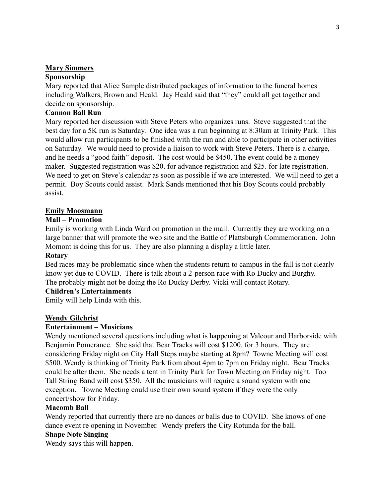### **Mary Simmers**

# **Sponsorship**

Mary reported that Alice Sample distributed packages of information to the funeral homes including Walkers, Brown and Heald. Jay Heald said that "they" could all get together and decide on sponsorship.

### **Cannon Ball Run**

Mary reported her discussion with Steve Peters who organizes runs. Steve suggested that the best day for a 5K run is Saturday. One idea was a run beginning at 8:30am at Trinity Park. This would allow run participants to be finished with the run and able to participate in other activities on Saturday. We would need to provide a liaison to work with Steve Peters. There is a charge, and he needs a "good faith" deposit. The cost would be \$450. The event could be a money maker. Suggested registration was \$20. for advance registration and \$25. for late registration. We need to get on Steve's calendar as soon as possible if we are interested. We will need to get a permit. Boy Scouts could assist. Mark Sands mentioned that his Boy Scouts could probably assist.

### **Emily Moosmann**

#### **Mall – Promotion**

Emily is working with Linda Ward on promotion in the mall. Currently they are working on a large banner that will promote the web site and the Battle of Plattsburgh Commemoration. John Momont is doing this for us. They are also planning a display a little later.

#### **Rotary**

Bed races may be problematic since when the students return to campus in the fall is not clearly know yet due to COVID. There is talk about a 2-person race with Ro Ducky and Burghy. The probably might not be doing the Ro Ducky Derby. Vicki will contact Rotary.

# **Children's Entertainments**

Emily will help Linda with this.

### **Wendy Gilchrist**

#### **Entertainment – Musicians**

Wendy mentioned several questions including what is happening at Valcour and Harborside with Benjamin Pomerance. She said that Bear Tracks will cost \$1200. for 3 hours. They are considering Friday night on City Hall Steps maybe starting at 8pm? Towne Meeting will cost \$500. Wendy is thinking of Trinity Park from about 4pm to 7pm on Friday night. Bear Tracks could be after them. She needs a tent in Trinity Park for Town Meeting on Friday night. Too Tall String Band will cost \$350. All the musicians will require a sound system with one exception. Towne Meeting could use their own sound system if they were the only concert/show for Friday.

#### **Macomb Ball**

Wendy reported that currently there are no dances or balls due to COVID. She knows of one dance event re opening in November. Wendy prefers the City Rotunda for the ball.

#### **Shape Note Singing**

Wendy says this will happen.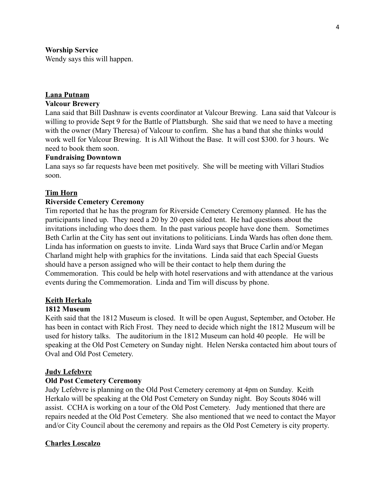### **Worship Service**

Wendy says this will happen.

### **Lana Putnam**

### **Valcour Brewery**

Lana said that Bill Dashnaw is events coordinator at Valcour Brewing. Lana said that Valcour is willing to provide Sept 9 for the Battle of Plattsburgh. She said that we need to have a meeting with the owner (Mary Theresa) of Valcour to confirm. She has a band that she thinks would work well for Valcour Brewing. It is All Without the Base. It will cost \$300. for 3 hours. We need to book them soon.

#### **Fundraising Downtown**

Lana says so far requests have been met positively. She will be meeting with Villari Studios soon.

### **Tim Horn**

#### **Riverside Cemetery Ceremony**

Tim reported that he has the program for Riverside Cemetery Ceremony planned. He has the participants lined up. They need a 20 by 20 open sided tent. He had questions about the invitations including who does them. In the past various people have done them. Sometimes Beth Carlin at the City has sent out invitations to politicians. Linda Wards has often done them. Linda has information on guests to invite. Linda Ward says that Bruce Carlin and/or Megan Charland might help with graphics for the invitations. Linda said that each Special Guests should have a person assigned who will be their contact to help them during the Commemoration. This could be help with hotel reservations and with attendance at the various events during the Commemoration. Linda and Tim will discuss by phone.

### **Keith Herkalo**

#### **1812 Museum**

Keith said that the 1812 Museum is closed. It will be open August, September, and October. He has been in contact with Rich Frost. They need to decide which night the 1812 Museum will be used for history talks. The auditorium in the 1812 Museum can hold 40 people. He will be speaking at the Old Post Cemetery on Sunday night. Helen Nerska contacted him about tours of Oval and Old Post Cemetery.

### **Judy Lefebvre**

#### **Old Post Cemetery Ceremony**

Judy Lefebvre is planning on the Old Post Cemetery ceremony at 4pm on Sunday. Keith Herkalo will be speaking at the Old Post Cemetery on Sunday night. Boy Scouts 8046 will assist. CCHA is working on a tour of the Old Post Cemetery. Judy mentioned that there are repairs needed at the Old Post Cemetery. She also mentioned that we need to contact the Mayor and/or City Council about the ceremony and repairs as the Old Post Cemetery is city property.

### **Charles Loscalzo**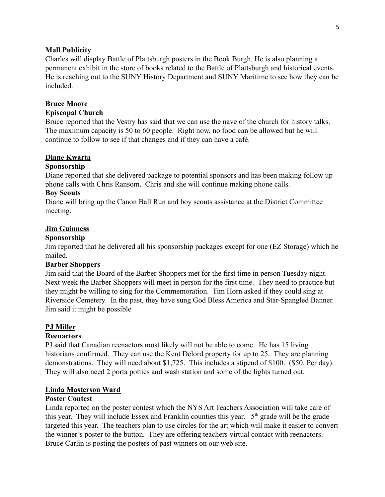#### **Mall Publicity**

Charles will display Battle of Plattsburgh posters in the Book Burgh. He is also planning a permanent exhibit in the store of books related to the Battle of Plattsburgh and historical events. He is reaching out to the SUNY History Department and SUNY Maritime to see how they can be included.

#### **Bruce Moore**

### **Episcopal Church**

Bruce reported that the Vestry has said that we can use the nave of the church for history talks. The maximum capacity is 50 to 60 people. Right now, no food can be allowed but he will continue to follow to see if that changes and if they can have a café.

#### **Diane Kwarta**

### **Sponsorship**

Diane reported that she delivered package to potential sponsors and has been making follow up phone calls with Chris Ransom. Chris and she will continue making phone calls.

#### **Boy Scouts**

Diane will bring up the Canon Ball Run and boy scouts assistance at the District Committee meeting.

#### **Jim Guinness**

#### **Sponsorship**

Jim reported that he delivered all his sponsorship packages except for one (EZ Storage) which he mailed.

#### **Barber Shoppers**

Jim said that the Board of the Barber Shoppers met for the first time in person Tuesday night. Next week the Barber Shoppers will meet in person for the first time. They need to practice but they might be willing to sing for the Commemoration. Tim Horn asked if they could sing at Riverside Cemetery. In the past, they have sung God Bless America and Star-Spangled Banner. Jim said it might be possible

#### **PJ Miller**

#### **Reenactors**

PJ said that Canadian reenactors most likely will not be able to come. He has 15 living historians confirmed. They can use the Kent Delord property for up to 25. They are planning demonstrations. They will need about \$1,725. This includes a stipend of \$100. (\$50. Per day). They will also need 2 porta potties and wash station and some of the lights turned out.

#### **Linda Masterson Ward**

#### **Poster Contest**

Linda reported on the poster contest which the NYS Art Teachers Association will take care of this year. They will include Essex and Franklin counties this year.  $5<sup>th</sup>$  grade will be the grade targeted this year. The teachers plan to use circles for the art which will make it easier to convert the winner's poster to the button. They are offering teachers virtual contact with reenactors. Bruce Carlin is posting the posters of past winners on our web site.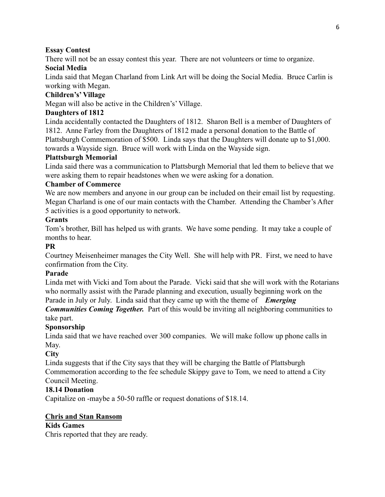# **Essay Contest**

There will not be an essay contest this year. There are not volunteers or time to organize.

# **Social Media**

Linda said that Megan Charland from Link Art will be doing the Social Media. Bruce Carlin is working with Megan.

# **Children's' Village**

Megan will also be active in the Children's' Village.

# **Daughters of 1812**

Linda accidentally contacted the Daughters of 1812. Sharon Bell is a member of Daughters of 1812. Anne Farley from the Daughters of 1812 made a personal donation to the Battle of Plattsburgh Commemoration of \$500. Linda says that the Daughters will donate up to \$1,000. towards a Wayside sign. Bruce will work with Linda on the Wayside sign.

# **Plattsburgh Memorial**

Linda said there was a communication to Plattsburgh Memorial that led them to believe that we were asking them to repair headstones when we were asking for a donation.

# **Chamber of Commerce**

We are now members and anyone in our group can be included on their email list by requesting. Megan Charland is one of our main contacts with the Chamber. Attending the Chamber's After 5 activities is a good opportunity to network.

# **Grants**

Tom's brother, Bill has helped us with grants. We have some pending. It may take a couple of months to hear.

# **PR**

Courtney Meisenheimer manages the City Well. She will help with PR. First, we need to have confirmation from the City.

# **Parade**

Linda met with Vicki and Tom about the Parade. Vicki said that she will work with the Rotarians who normally assist with the Parade planning and execution, usually beginning work on the Parade in July or July. Linda said that they came up with the theme of *Emerging*

*Communities Coming Together.* Part of this would be inviting all neighboring communities to take part.

# **Sponsorship**

Linda said that we have reached over 300 companies. We will make follow up phone calls in May.

# **City**

Linda suggests that if the City says that they will be charging the Battle of Plattsburgh Commemoration according to the fee schedule Skippy gave to Tom, we need to attend a City Council Meeting.

# **18.14 Donation**

Capitalize on -maybe a 50-50 raffle or request donations of \$18.14.

# **Chris and Stan Ransom**

# **Kids Games**

Chris reported that they are ready.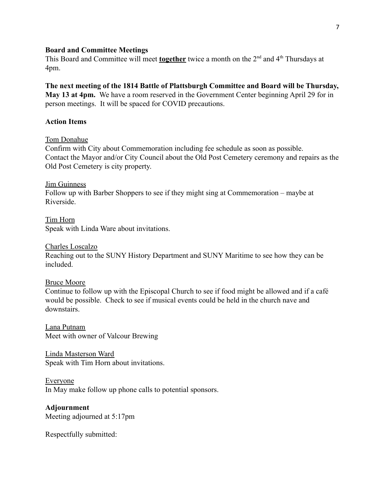#### **Board and Committee Meetings**

This Board and Committee will meet **together** twice a month on the 2<sup>nd</sup> and 4<sup>th</sup> Thursdays at 4pm.

# **The next meeting of the 1814 Battle of Plattsburgh Committee and Board will be Thursday,**

**May 13 at 4pm.** We have a room reserved in the Government Center beginning April 29 for in person meetings. It will be spaced for COVID precautions.

### **Action Items**

### Tom Donahue

Confirm with City about Commemoration including fee schedule as soon as possible. Contact the Mayor and/or City Council about the Old Post Cemetery ceremony and repairs as the Old Post Cemetery is city property.

#### Jim Guinness

Follow up with Barber Shoppers to see if they might sing at Commemoration – maybe at Riverside.

Tim Horn Speak with Linda Ware about invitations.

#### Charles Loscalzo

Reaching out to the SUNY History Department and SUNY Maritime to see how they can be included.

### Bruce Moore

Continue to follow up with the Episcopal Church to see if food might be allowed and if a café would be possible. Check to see if musical events could be held in the church nave and downstairs.

Lana Putnam Meet with owner of Valcour Brewing

Linda Masterson Ward Speak with Tim Horn about invitations.

### Everyone

In May make follow up phone calls to potential sponsors.

# **Adjournment**

Meeting adjourned at 5:17pm

Respectfully submitted: